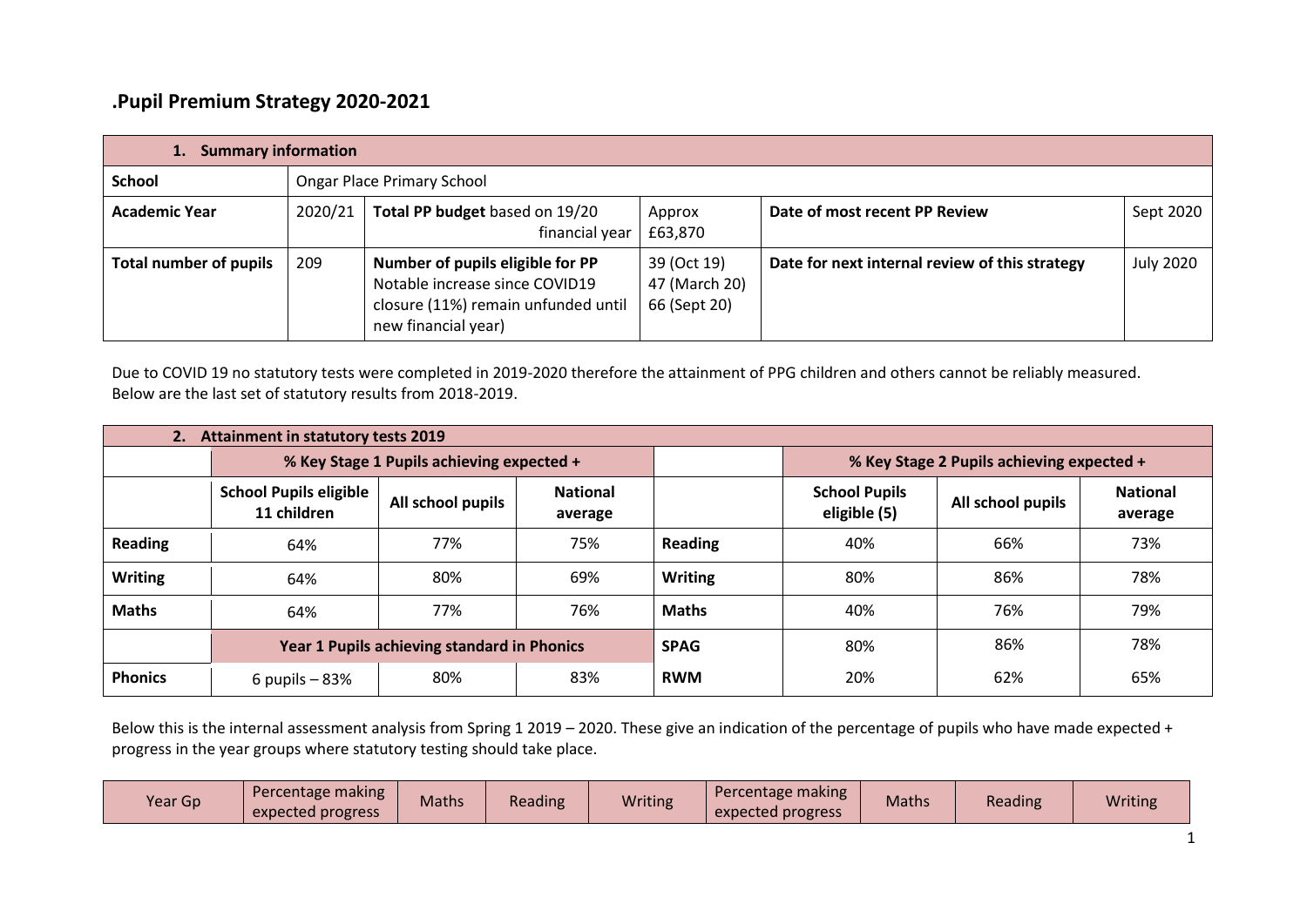## **.Pupil Premium Strategy 2020-2021**

| <b>Summary information</b>    |         |                                                                                                                                  |                                              |                                                |                  |  |  |
|-------------------------------|---------|----------------------------------------------------------------------------------------------------------------------------------|----------------------------------------------|------------------------------------------------|------------------|--|--|
| <b>School</b>                 |         | <b>Ongar Place Primary School</b>                                                                                                |                                              |                                                |                  |  |  |
| <b>Academic Year</b>          | 2020/21 | Total PP budget based on 19/20<br>financial year                                                                                 | Approx<br>£63,870                            | Date of most recent PP Review                  | Sept 2020        |  |  |
| <b>Total number of pupils</b> | 209     | Number of pupils eligible for PP<br>Notable increase since COVID19<br>closure (11%) remain unfunded until<br>new financial year) | 39 (Oct 19)<br>47 (March 20)<br>66 (Sept 20) | Date for next internal review of this strategy | <b>July 2020</b> |  |  |

Due to COVID 19 no statutory tests were completed in 2019-2020 therefore the attainment of PPG children and others cannot be reliably measured. Below are the last set of statutory results from 2018-2019.

| <b>Attainment in statutory tests 2019</b> |                                              |                                           |                            |                |                                           |                   |                            |
|-------------------------------------------|----------------------------------------------|-------------------------------------------|----------------------------|----------------|-------------------------------------------|-------------------|----------------------------|
|                                           |                                              | % Key Stage 1 Pupils achieving expected + |                            |                | % Key Stage 2 Pupils achieving expected + |                   |                            |
|                                           | <b>School Pupils eligible</b><br>11 children | All school pupils                         | <b>National</b><br>average |                | <b>School Pupils</b><br>eligible (5)      | All school pupils | <b>National</b><br>average |
| <b>Reading</b>                            | 64%                                          | 77%                                       | 75%                        | <b>Reading</b> | 40%                                       | 66%               | 73%                        |
| <b>Writing</b>                            | 64%                                          | 80%                                       | 69%                        | <b>Writing</b> | 80%                                       | 86%               | 78%                        |
| <b>Maths</b>                              | 64%                                          | 77%                                       | 76%                        | <b>Maths</b>   | 40%                                       | 76%               | 79%                        |
|                                           | Year 1 Pupils achieving standard in Phonics  |                                           |                            | <b>SPAG</b>    | 80%                                       | 86%               | 78%                        |
| <b>Phonics</b>                            | 6 pupils $-83%$                              | 80%                                       | 83%                        | <b>RWM</b>     | 20%                                       | 62%               | 65%                        |

Below this is the internal assessment analysis from Spring 1 2019 – 2020. These give an indication of the percentage of pupils who have made expected + progress in the year groups where statutory testing should take place.

| Year Gp | Percentage making<br>expected progress | <b>Maths</b> | Reading | <b>Writing</b> | Percentage making<br>expected progress | Maths | Reading | <b>Writing</b> |
|---------|----------------------------------------|--------------|---------|----------------|----------------------------------------|-------|---------|----------------|
|---------|----------------------------------------|--------------|---------|----------------|----------------------------------------|-------|---------|----------------|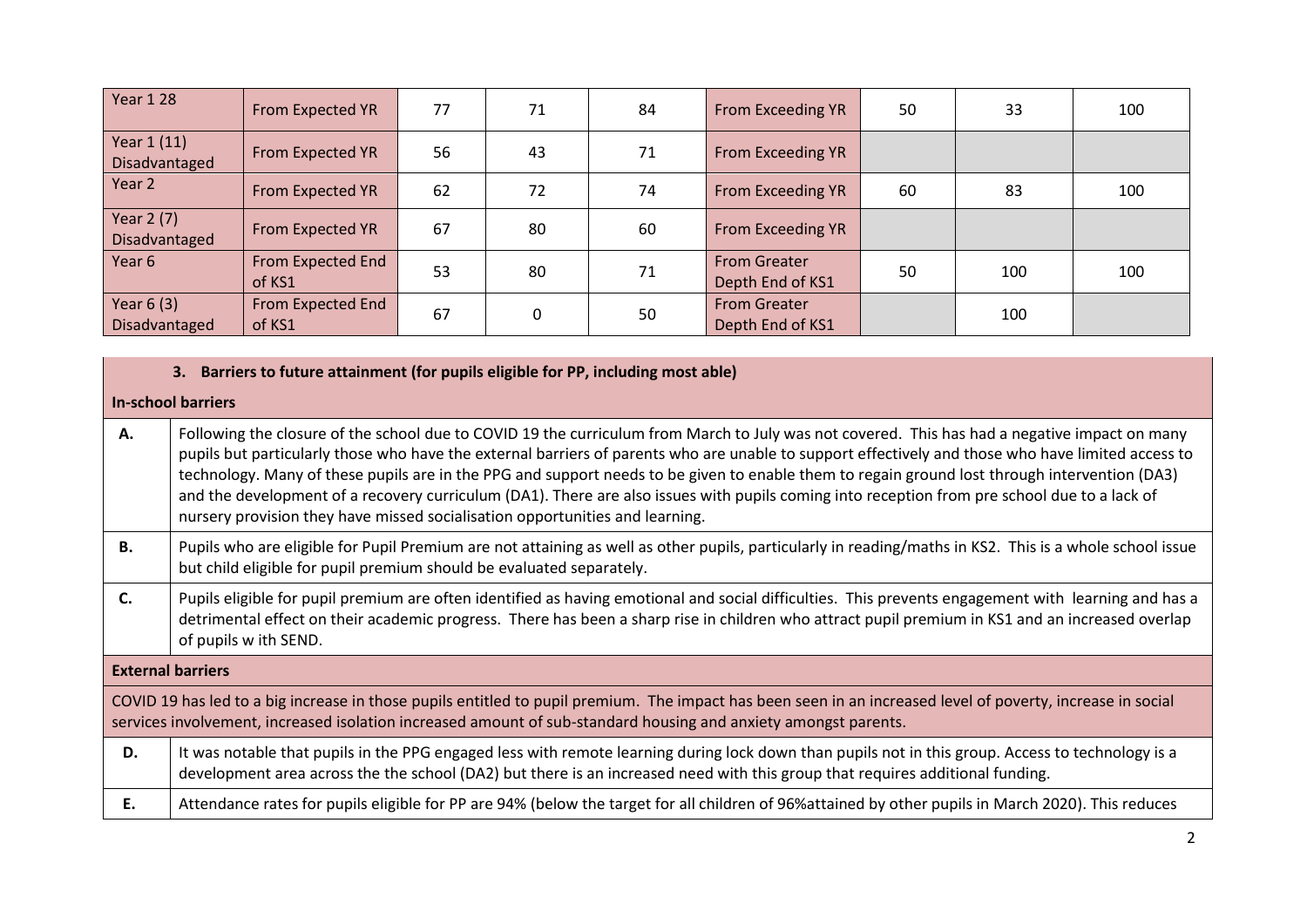| <b>Year 1 28</b>                    | From Expected YR            | 77 | 71 | 84 | From Exceeding YR                       | 50 | 33  | 100 |
|-------------------------------------|-----------------------------|----|----|----|-----------------------------------------|----|-----|-----|
| Year 1 (11)<br><b>Disadvantaged</b> | From Expected YR            | 56 | 43 | 71 | From Exceeding YR                       |    |     |     |
| Year 2                              | From Expected YR            | 62 | 72 | 74 | From Exceeding YR                       | 60 | 83  | 100 |
| Year 2 (7)<br>Disadvantaged         | From Expected YR            | 67 | 80 | 60 | From Exceeding YR                       |    |     |     |
| Year 6                              | From Expected End<br>of KS1 | 53 | 80 | 71 | <b>From Greater</b><br>Depth End of KS1 | 50 | 100 | 100 |
| Year $6(3)$<br>Disadvantaged        | From Expected End<br>of KS1 | 67 |    | 50 | <b>From Greater</b><br>Depth End of KS1 |    | 100 |     |

|    | 3. Barriers to future attainment (for pupils eligible for PP, including most able)                                                                                                                                                                                                                                                                                                                                                                                                                                                                                                                                                                                                   |  |  |  |  |  |
|----|--------------------------------------------------------------------------------------------------------------------------------------------------------------------------------------------------------------------------------------------------------------------------------------------------------------------------------------------------------------------------------------------------------------------------------------------------------------------------------------------------------------------------------------------------------------------------------------------------------------------------------------------------------------------------------------|--|--|--|--|--|
|    | <b>In-school barriers</b>                                                                                                                                                                                                                                                                                                                                                                                                                                                                                                                                                                                                                                                            |  |  |  |  |  |
| А. | Following the closure of the school due to COVID 19 the curriculum from March to July was not covered. This has had a negative impact on many<br>pupils but particularly those who have the external barriers of parents who are unable to support effectively and those who have limited access to<br>technology. Many of these pupils are in the PPG and support needs to be given to enable them to regain ground lost through intervention (DA3)<br>and the development of a recovery curriculum (DA1). There are also issues with pupils coming into reception from pre school due to a lack of<br>nursery provision they have missed socialisation opportunities and learning. |  |  |  |  |  |
| В. | Pupils who are eligible for Pupil Premium are not attaining as well as other pupils, particularly in reading/maths in KS2. This is a whole school issue<br>but child eligible for pupil premium should be evaluated separately.                                                                                                                                                                                                                                                                                                                                                                                                                                                      |  |  |  |  |  |
| C. | Pupils eligible for pupil premium are often identified as having emotional and social difficulties. This prevents engagement with learning and has a<br>detrimental effect on their academic progress. There has been a sharp rise in children who attract pupil premium in KS1 and an increased overlap<br>of pupils w ith SEND.                                                                                                                                                                                                                                                                                                                                                    |  |  |  |  |  |
|    | <b>External barriers</b>                                                                                                                                                                                                                                                                                                                                                                                                                                                                                                                                                                                                                                                             |  |  |  |  |  |
|    | COVID 19 has led to a big increase in those pupils entitled to pupil premium. The impact has been seen in an increased level of poverty, increase in social<br>services involvement, increased isolation increased amount of sub-standard housing and anxiety amongst parents.                                                                                                                                                                                                                                                                                                                                                                                                       |  |  |  |  |  |
| D. | It was notable that pupils in the PPG engaged less with remote learning during lock down than pupils not in this group. Access to technology is a<br>development area across the the school (DA2) but there is an increased need with this group that requires additional funding.                                                                                                                                                                                                                                                                                                                                                                                                   |  |  |  |  |  |
| Ε. | Attendance rates for pupils eligible for PP are 94% (below the target for all children of 96%attained by other pupils in March 2020). This reduces                                                                                                                                                                                                                                                                                                                                                                                                                                                                                                                                   |  |  |  |  |  |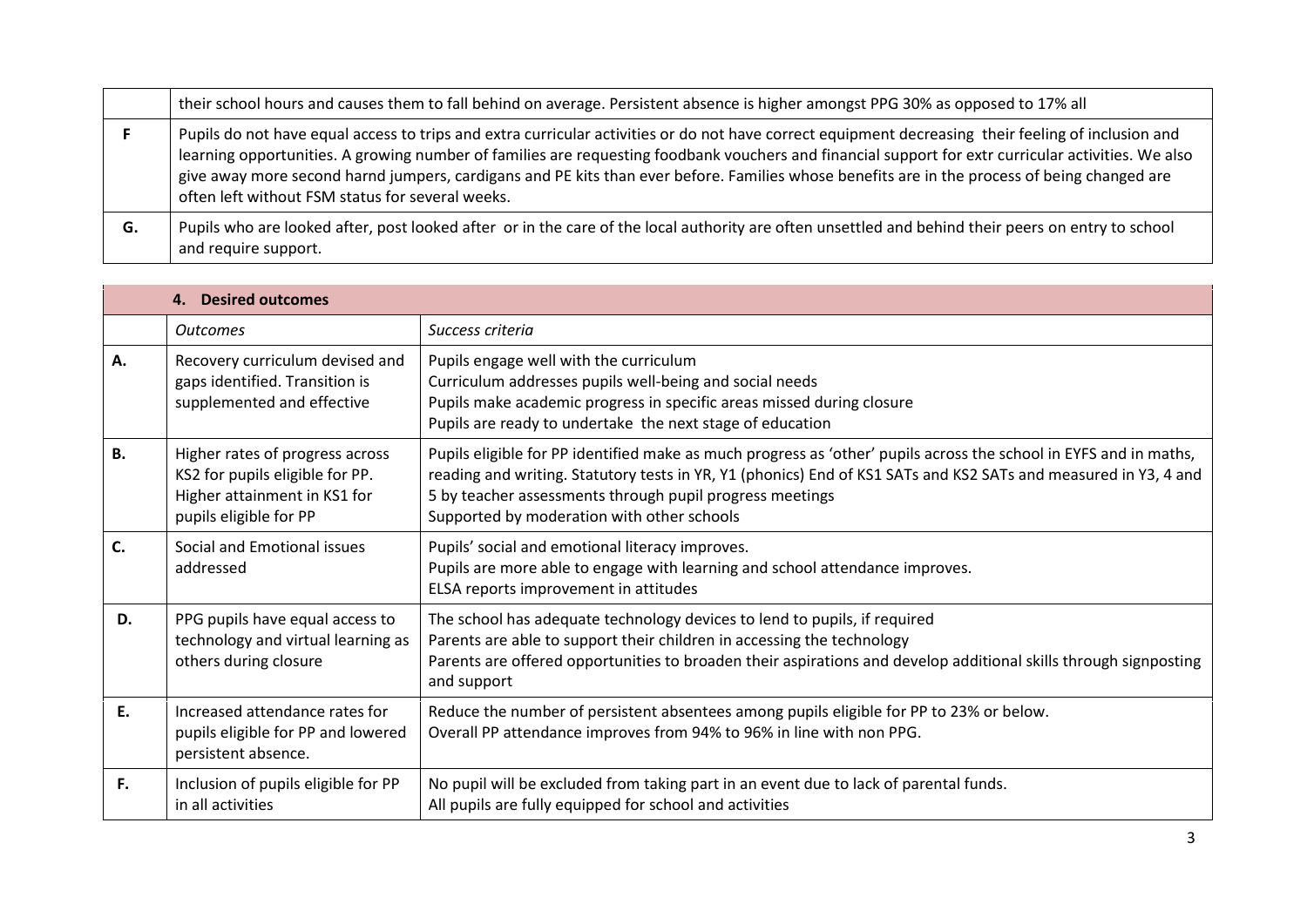|    | their school hours and causes them to fall behind on average. Persistent absence is higher amongst PPG 30% as opposed to 17% all                                                                                                                                                                                                                                                                                                                                                                               |
|----|----------------------------------------------------------------------------------------------------------------------------------------------------------------------------------------------------------------------------------------------------------------------------------------------------------------------------------------------------------------------------------------------------------------------------------------------------------------------------------------------------------------|
|    | Pupils do not have equal access to trips and extra curricular activities or do not have correct equipment decreasing their feeling of inclusion and<br>learning opportunities. A growing number of families are requesting foodbank vouchers and financial support for extr curricular activities. We also<br>give away more second harnd jumpers, cardigans and PE kits than ever before. Families whose benefits are in the process of being changed are<br>often left without FSM status for several weeks. |
| G. | Pupils who are looked after, post looked after or in the care of the local authority are often unsettled and behind their peers on entry to school<br>and require support.                                                                                                                                                                                                                                                                                                                                     |

|           | 4. Desired outcomes                                                                                                          |                                                                                                                                                                                                                                                                                                                                                |
|-----------|------------------------------------------------------------------------------------------------------------------------------|------------------------------------------------------------------------------------------------------------------------------------------------------------------------------------------------------------------------------------------------------------------------------------------------------------------------------------------------|
|           | <b>Outcomes</b>                                                                                                              | Success criteria                                                                                                                                                                                                                                                                                                                               |
| Α.        | Recovery curriculum devised and<br>gaps identified. Transition is<br>supplemented and effective                              | Pupils engage well with the curriculum<br>Curriculum addresses pupils well-being and social needs<br>Pupils make academic progress in specific areas missed during closure<br>Pupils are ready to undertake the next stage of education                                                                                                        |
| <b>B.</b> | Higher rates of progress across<br>KS2 for pupils eligible for PP.<br>Higher attainment in KS1 for<br>pupils eligible for PP | Pupils eligible for PP identified make as much progress as 'other' pupils across the school in EYFS and in maths,<br>reading and writing. Statutory tests in YR, Y1 (phonics) End of KS1 SATs and KS2 SATs and measured in Y3, 4 and<br>5 by teacher assessments through pupil progress meetings<br>Supported by moderation with other schools |
| C.        | Social and Emotional issues<br>addressed                                                                                     | Pupils' social and emotional literacy improves.<br>Pupils are more able to engage with learning and school attendance improves.<br>ELSA reports improvement in attitudes                                                                                                                                                                       |
| D.        | PPG pupils have equal access to<br>technology and virtual learning as<br>others during closure                               | The school has adequate technology devices to lend to pupils, if required<br>Parents are able to support their children in accessing the technology<br>Parents are offered opportunities to broaden their aspirations and develop additional skills through signposting<br>and support                                                         |
| Ε.        | Increased attendance rates for<br>pupils eligible for PP and lowered<br>persistent absence.                                  | Reduce the number of persistent absentees among pupils eligible for PP to 23% or below.<br>Overall PP attendance improves from 94% to 96% in line with non PPG.                                                                                                                                                                                |
| F.        | Inclusion of pupils eligible for PP<br>in all activities                                                                     | No pupil will be excluded from taking part in an event due to lack of parental funds.<br>All pupils are fully equipped for school and activities                                                                                                                                                                                               |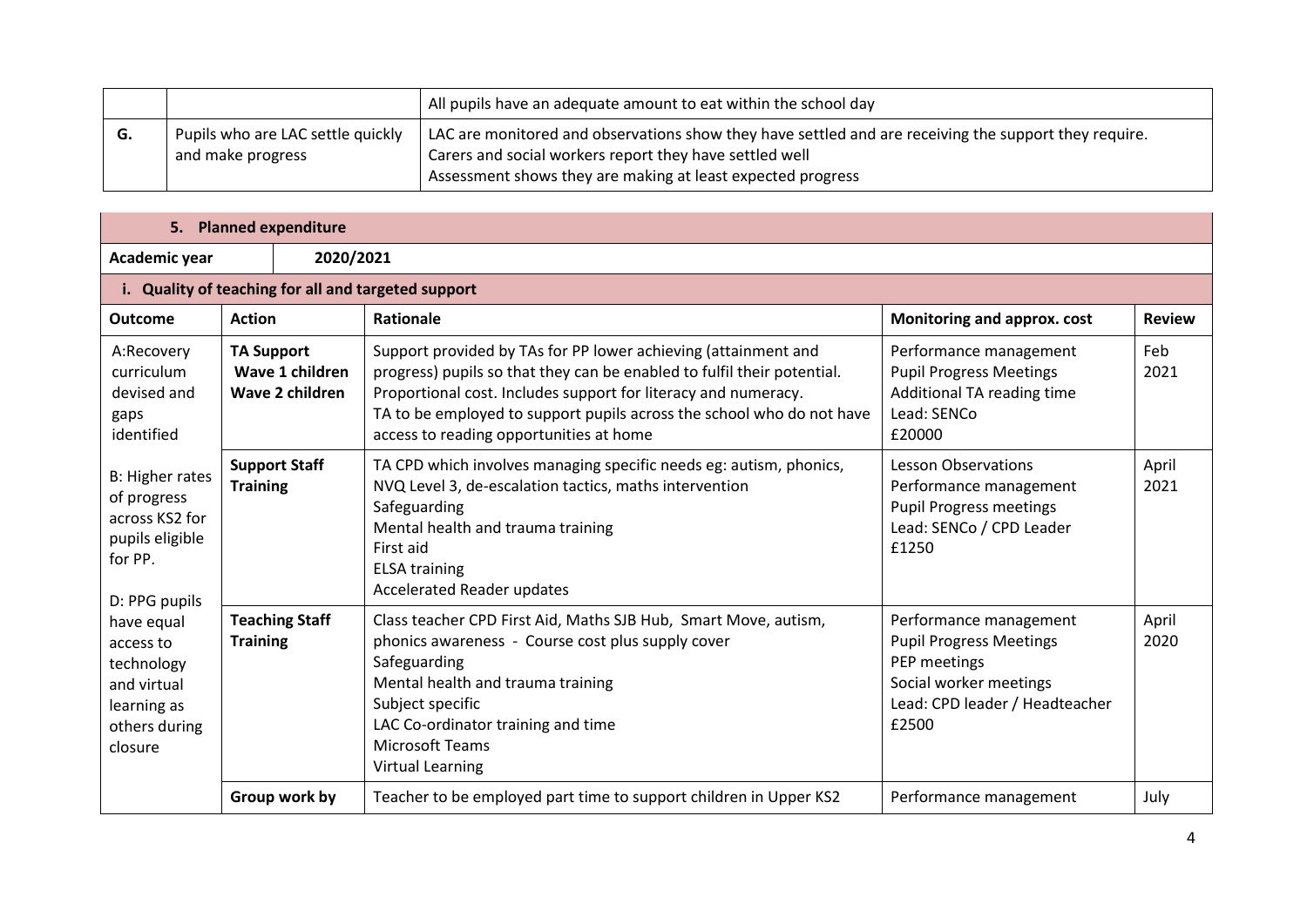|    |                                                        | All pupils have an adequate amount to eat within the school day                                                                                                                                                                 |
|----|--------------------------------------------------------|---------------------------------------------------------------------------------------------------------------------------------------------------------------------------------------------------------------------------------|
| G. | Pupils who are LAC settle quickly<br>and make progress | LAC are monitored and observations show they have settled and are receiving the support they require.<br>Carers and social workers report they have settled well<br>Assessment shows they are making at least expected progress |

|                                                                                                                          | 5. Planned expenditure                              |                                                                                                                                                                                                                                                                                                                                 |                                                                                                                                               |               |  |  |  |
|--------------------------------------------------------------------------------------------------------------------------|-----------------------------------------------------|---------------------------------------------------------------------------------------------------------------------------------------------------------------------------------------------------------------------------------------------------------------------------------------------------------------------------------|-----------------------------------------------------------------------------------------------------------------------------------------------|---------------|--|--|--|
| Academic year                                                                                                            | 2020/2021                                           |                                                                                                                                                                                                                                                                                                                                 |                                                                                                                                               |               |  |  |  |
|                                                                                                                          | i. Quality of teaching for all and targeted support |                                                                                                                                                                                                                                                                                                                                 |                                                                                                                                               |               |  |  |  |
| <b>Outcome</b>                                                                                                           | <b>Action</b>                                       | Rationale                                                                                                                                                                                                                                                                                                                       | Monitoring and approx. cost                                                                                                                   | <b>Review</b> |  |  |  |
| A:Recovery<br><b>TA Support</b><br>curriculum<br>Wave 1 children<br>devised and<br>Wave 2 children<br>gaps<br>identified |                                                     | Support provided by TAs for PP lower achieving (attainment and<br>progress) pupils so that they can be enabled to fulfil their potential.<br>Proportional cost. Includes support for literacy and numeracy.<br>TA to be employed to support pupils across the school who do not have<br>access to reading opportunities at home | Performance management<br><b>Pupil Progress Meetings</b><br>Additional TA reading time<br>Lead: SENCo<br>£20000                               | Feb<br>2021   |  |  |  |
| B: Higher rates<br>of progress<br>across KS2 for<br>pupils eligible<br>for PP.<br>D: PPG pupils                          | <b>Support Staff</b><br><b>Training</b>             | TA CPD which involves managing specific needs eg: autism, phonics,<br>NVQ Level 3, de-escalation tactics, maths intervention<br>Safeguarding<br>Mental health and trauma training<br>First aid<br><b>ELSA training</b><br><b>Accelerated Reader updates</b>                                                                     | <b>Lesson Observations</b><br>Performance management<br><b>Pupil Progress meetings</b><br>Lead: SENCo / CPD Leader<br>£1250                   | April<br>2021 |  |  |  |
| have equal<br>access to<br>technology<br>and virtual<br>learning as<br>others during<br>closure                          | <b>Teaching Staff</b><br><b>Training</b>            | Class teacher CPD First Aid, Maths SJB Hub, Smart Move, autism,<br>phonics awareness - Course cost plus supply cover<br>Safeguarding<br>Mental health and trauma training<br>Subject specific<br>LAC Co-ordinator training and time<br><b>Microsoft Teams</b><br><b>Virtual Learning</b>                                        | Performance management<br><b>Pupil Progress Meetings</b><br>PEP meetings<br>Social worker meetings<br>Lead: CPD leader / Headteacher<br>£2500 | April<br>2020 |  |  |  |
|                                                                                                                          | Group work by                                       | Teacher to be employed part time to support children in Upper KS2                                                                                                                                                                                                                                                               | Performance management                                                                                                                        | July          |  |  |  |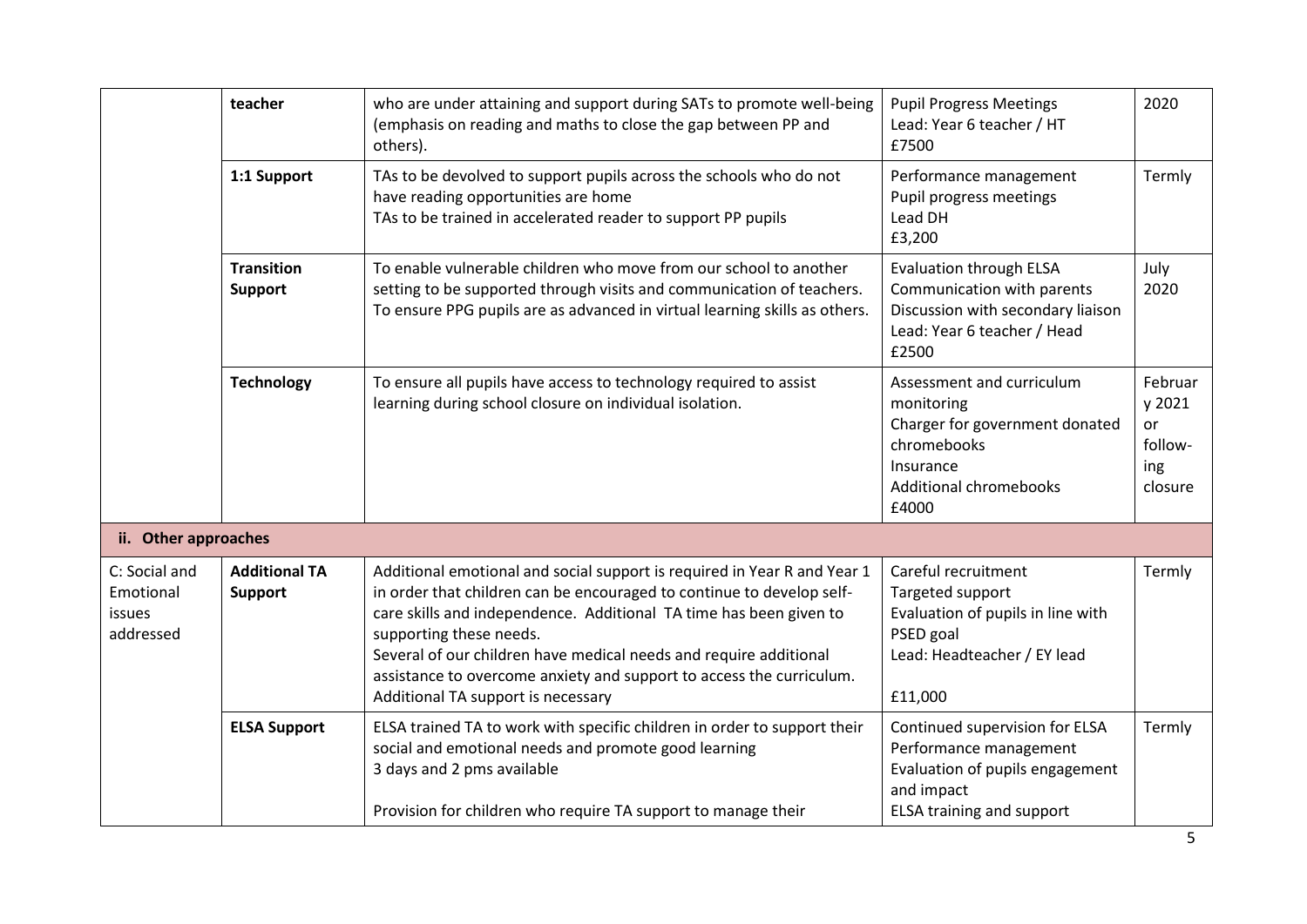|                                                   | teacher                                | who are under attaining and support during SATs to promote well-being<br>(emphasis on reading and maths to close the gap between PP and<br>others).                                                                                                                                                                                                                                                                                   | <b>Pupil Progress Meetings</b><br>Lead: Year 6 teacher / HT<br>£7500                                                                            | 2020                                                 |  |
|---------------------------------------------------|----------------------------------------|---------------------------------------------------------------------------------------------------------------------------------------------------------------------------------------------------------------------------------------------------------------------------------------------------------------------------------------------------------------------------------------------------------------------------------------|-------------------------------------------------------------------------------------------------------------------------------------------------|------------------------------------------------------|--|
| 1:1 Support                                       |                                        | TAs to be devolved to support pupils across the schools who do not<br>have reading opportunities are home<br>TAs to be trained in accelerated reader to support PP pupils                                                                                                                                                                                                                                                             | Performance management<br>Pupil progress meetings<br>Lead DH<br>£3,200                                                                          | Termly                                               |  |
|                                                   | <b>Transition</b><br><b>Support</b>    | To enable vulnerable children who move from our school to another<br>setting to be supported through visits and communication of teachers.<br>To ensure PPG pupils are as advanced in virtual learning skills as others.                                                                                                                                                                                                              | <b>Evaluation through ELSA</b><br>Communication with parents<br>Discussion with secondary liaison<br>Lead: Year 6 teacher / Head<br>£2500       | July<br>2020                                         |  |
|                                                   | <b>Technology</b>                      | To ensure all pupils have access to technology required to assist<br>learning during school closure on individual isolation.                                                                                                                                                                                                                                                                                                          | Assessment and curriculum<br>monitoring<br>Charger for government donated<br>chromebooks<br>Insurance<br><b>Additional chromebooks</b><br>£4000 | Februar<br>y 2021<br>or<br>follow-<br>ing<br>closure |  |
| ii. Other approaches                              |                                        |                                                                                                                                                                                                                                                                                                                                                                                                                                       |                                                                                                                                                 |                                                      |  |
| C: Social and<br>Emotional<br>issues<br>addressed | <b>Additional TA</b><br><b>Support</b> | Additional emotional and social support is required in Year R and Year 1<br>in order that children can be encouraged to continue to develop self-<br>care skills and independence. Additional TA time has been given to<br>supporting these needs.<br>Several of our children have medical needs and require additional<br>assistance to overcome anxiety and support to access the curriculum.<br>Additional TA support is necessary | Careful recruitment<br>Targeted support<br>Evaluation of pupils in line with<br>PSED goal<br>Lead: Headteacher / EY lead<br>£11,000             | Termly                                               |  |
|                                                   | <b>ELSA Support</b>                    | ELSA trained TA to work with specific children in order to support their<br>social and emotional needs and promote good learning<br>3 days and 2 pms available                                                                                                                                                                                                                                                                        | Continued supervision for ELSA<br>Performance management<br>Evaluation of pupils engagement<br>and impact                                       | Termly                                               |  |
|                                                   |                                        | Provision for children who require TA support to manage their                                                                                                                                                                                                                                                                                                                                                                         | <b>ELSA training and support</b>                                                                                                                |                                                      |  |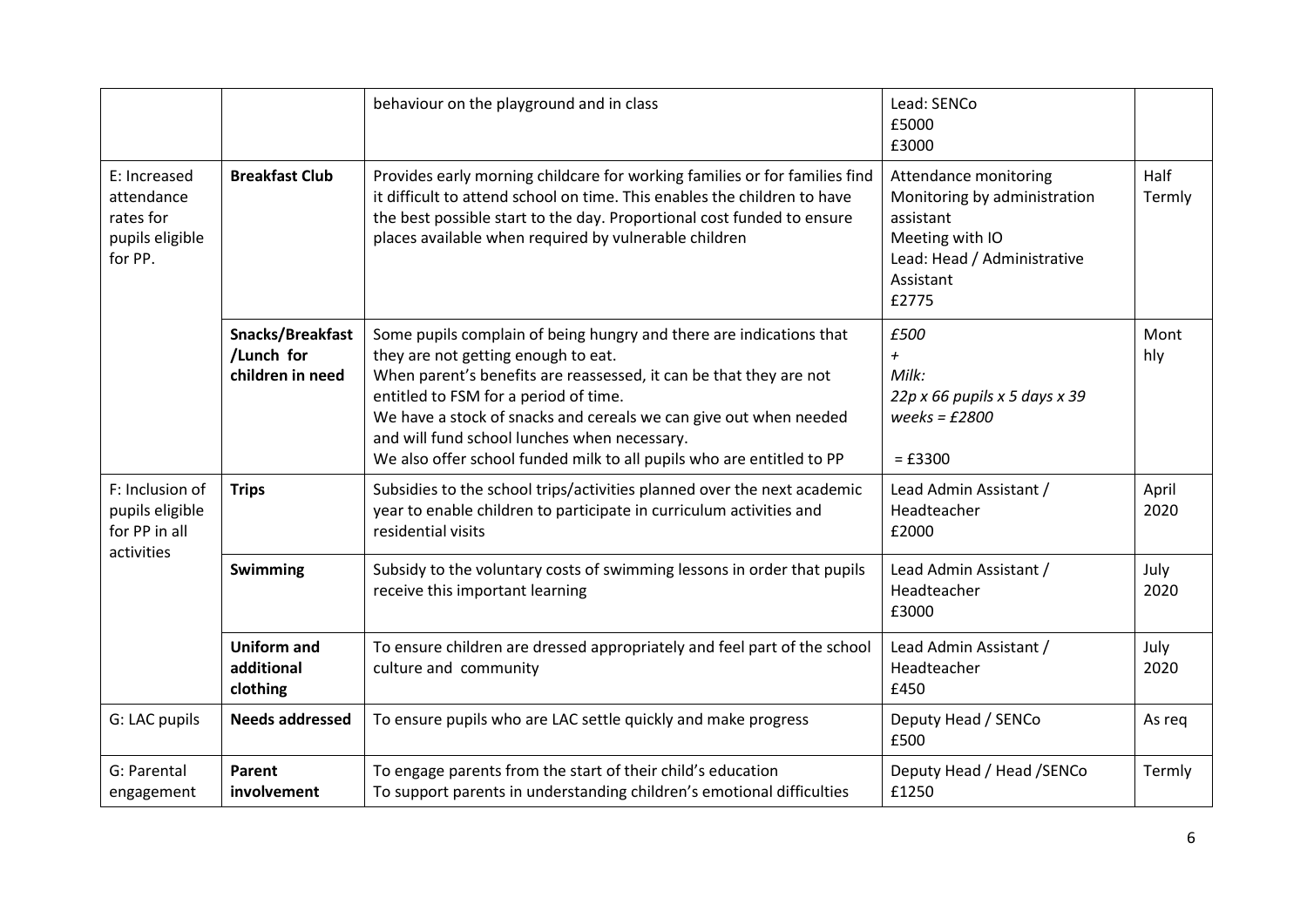|                                                                       |                                                    | behaviour on the playground and in class                                                                                                                                                                                                                                                                                                                                                                                | Lead: SENCo<br>£5000<br>£3000                                                                                                              |                |
|-----------------------------------------------------------------------|----------------------------------------------------|-------------------------------------------------------------------------------------------------------------------------------------------------------------------------------------------------------------------------------------------------------------------------------------------------------------------------------------------------------------------------------------------------------------------------|--------------------------------------------------------------------------------------------------------------------------------------------|----------------|
| E: Increased<br>attendance<br>rates for<br>pupils eligible<br>for PP. | <b>Breakfast Club</b>                              | Provides early morning childcare for working families or for families find<br>it difficult to attend school on time. This enables the children to have<br>the best possible start to the day. Proportional cost funded to ensure<br>places available when required by vulnerable children                                                                                                                               | Attendance monitoring<br>Monitoring by administration<br>assistant<br>Meeting with IO<br>Lead: Head / Administrative<br>Assistant<br>£2775 | Half<br>Termly |
|                                                                       | Snacks/Breakfast<br>/Lunch for<br>children in need | Some pupils complain of being hungry and there are indications that<br>they are not getting enough to eat.<br>When parent's benefits are reassessed, it can be that they are not<br>entitled to FSM for a period of time.<br>We have a stock of snacks and cereals we can give out when needed<br>and will fund school lunches when necessary.<br>We also offer school funded milk to all pupils who are entitled to PP | £500<br>$\overline{+}$<br>Milk:<br>22p x 66 pupils x 5 days x 39<br>weeks = $£2800$<br>$= £3300$                                           | Mont<br>hly    |
| F: Inclusion of<br>pupils eligible<br>for PP in all                   | <b>Trips</b>                                       | Subsidies to the school trips/activities planned over the next academic<br>year to enable children to participate in curriculum activities and<br>residential visits                                                                                                                                                                                                                                                    | Lead Admin Assistant /<br>Headteacher<br>£2000                                                                                             | April<br>2020  |
| activities                                                            | Swimming                                           | Subsidy to the voluntary costs of swimming lessons in order that pupils<br>receive this important learning                                                                                                                                                                                                                                                                                                              | Lead Admin Assistant /<br>Headteacher<br>£3000                                                                                             | July<br>2020   |
|                                                                       | <b>Uniform and</b><br>additional<br>clothing       | To ensure children are dressed appropriately and feel part of the school<br>culture and community                                                                                                                                                                                                                                                                                                                       | Lead Admin Assistant /<br>Headteacher<br>£450                                                                                              | July<br>2020   |
| G: LAC pupils                                                         | <b>Needs addressed</b>                             | To ensure pupils who are LAC settle quickly and make progress                                                                                                                                                                                                                                                                                                                                                           | Deputy Head / SENCo<br>£500                                                                                                                | As reg         |
| G: Parental<br>engagement                                             | Parent<br>involvement                              | To engage parents from the start of their child's education<br>To support parents in understanding children's emotional difficulties                                                                                                                                                                                                                                                                                    | Deputy Head / Head / SENCo<br>£1250                                                                                                        | Termly         |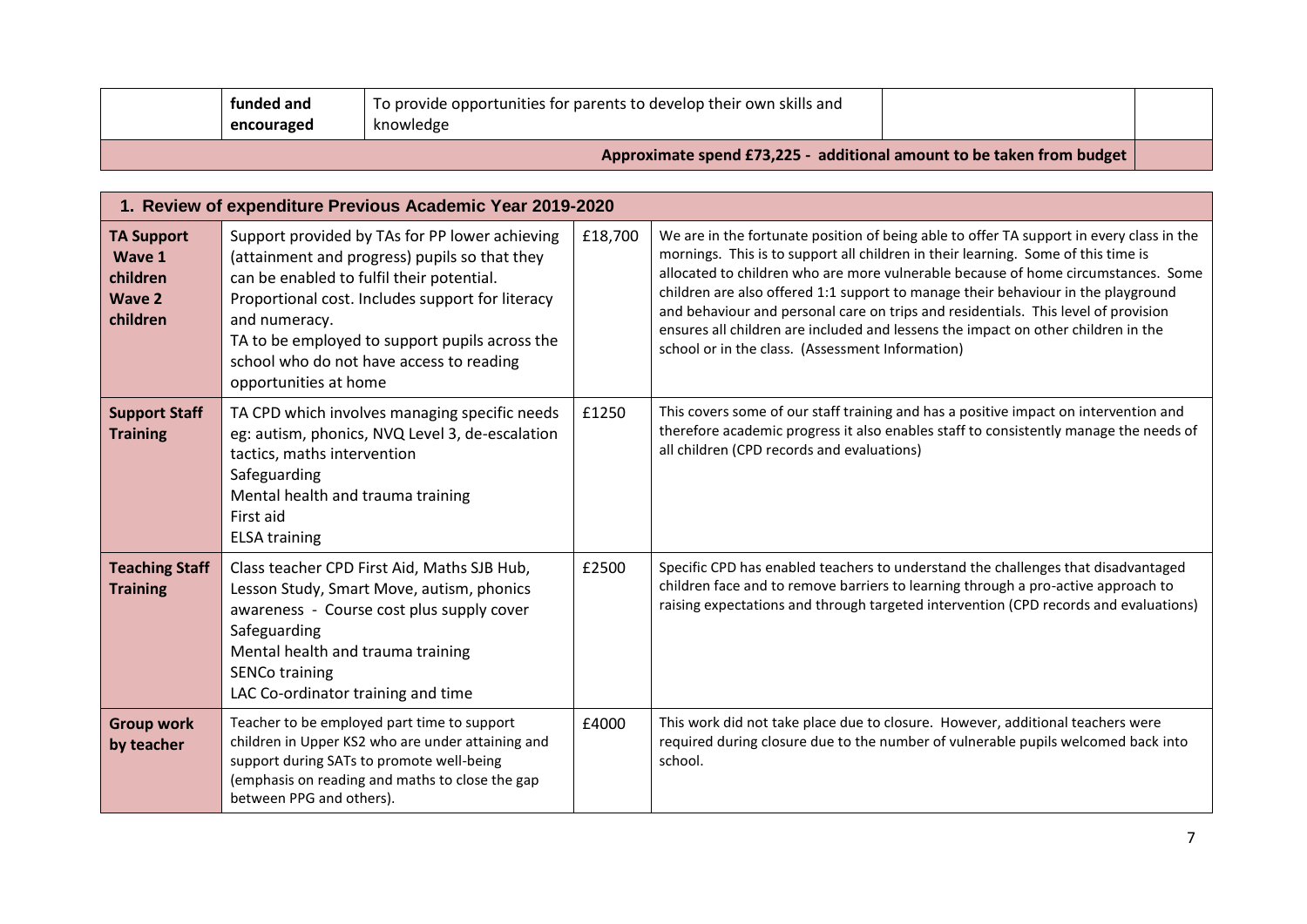|                                                                      | funded and<br>encouraged                                                                                                                                                                                                                                                                                                                 | To provide opportunities for parents to develop their own skills and<br>knowledge                                                                                                                |       |                                                                                                                                                                                                                                                                                                                                                                                                                                                                                                                                                                                        |  |  |
|----------------------------------------------------------------------|------------------------------------------------------------------------------------------------------------------------------------------------------------------------------------------------------------------------------------------------------------------------------------------------------------------------------------------|--------------------------------------------------------------------------------------------------------------------------------------------------------------------------------------------------|-------|----------------------------------------------------------------------------------------------------------------------------------------------------------------------------------------------------------------------------------------------------------------------------------------------------------------------------------------------------------------------------------------------------------------------------------------------------------------------------------------------------------------------------------------------------------------------------------------|--|--|
|                                                                      |                                                                                                                                                                                                                                                                                                                                          |                                                                                                                                                                                                  |       | Approximate spend £73,225 - additional amount to be taken from budget                                                                                                                                                                                                                                                                                                                                                                                                                                                                                                                  |  |  |
|                                                                      |                                                                                                                                                                                                                                                                                                                                          | 1. Review of expenditure Previous Academic Year 2019-2020                                                                                                                                        |       |                                                                                                                                                                                                                                                                                                                                                                                                                                                                                                                                                                                        |  |  |
| <b>TA Support</b><br>Wave 1<br>children<br><b>Wave 2</b><br>children | Support provided by TAs for PP lower achieving<br>(attainment and progress) pupils so that they<br>can be enabled to fulfil their potential.<br>Proportional cost. Includes support for literacy<br>and numeracy.<br>TA to be employed to support pupils across the<br>school who do not have access to reading<br>opportunities at home |                                                                                                                                                                                                  |       | We are in the fortunate position of being able to offer TA support in every class in the<br>mornings. This is to support all children in their learning. Some of this time is<br>allocated to children who are more vulnerable because of home circumstances. Some<br>children are also offered 1:1 support to manage their behaviour in the playground<br>and behaviour and personal care on trips and residentials. This level of provision<br>ensures all children are included and lessens the impact on other children in the<br>school or in the class. (Assessment Information) |  |  |
| <b>Support Staff</b><br><b>Training</b>                              | TA CPD which involves managing specific needs<br>eg: autism, phonics, NVQ Level 3, de-escalation<br>tactics, maths intervention<br>Safeguarding<br>Mental health and trauma training<br>First aid<br><b>ELSA training</b>                                                                                                                |                                                                                                                                                                                                  |       | This covers some of our staff training and has a positive impact on intervention and<br>therefore academic progress it also enables staff to consistently manage the needs of<br>all children (CPD records and evaluations)                                                                                                                                                                                                                                                                                                                                                            |  |  |
| <b>Teaching Staff</b><br><b>Training</b>                             | Safeguarding<br>Mental health and trauma training<br><b>SENCo training</b><br>LAC Co-ordinator training and time                                                                                                                                                                                                                         | Class teacher CPD First Aid, Maths SJB Hub,<br>Lesson Study, Smart Move, autism, phonics<br>awareness - Course cost plus supply cover                                                            | £2500 | Specific CPD has enabled teachers to understand the challenges that disadvantaged<br>children face and to remove barriers to learning through a pro-active approach to<br>raising expectations and through targeted intervention (CPD records and evaluations)                                                                                                                                                                                                                                                                                                                         |  |  |
| <b>Group work</b><br>by teacher                                      | between PPG and others).                                                                                                                                                                                                                                                                                                                 | Teacher to be employed part time to support<br>children in Upper KS2 who are under attaining and<br>support during SATs to promote well-being<br>(emphasis on reading and maths to close the gap | £4000 | This work did not take place due to closure. However, additional teachers were<br>required during closure due to the number of vulnerable pupils welcomed back into<br>school.                                                                                                                                                                                                                                                                                                                                                                                                         |  |  |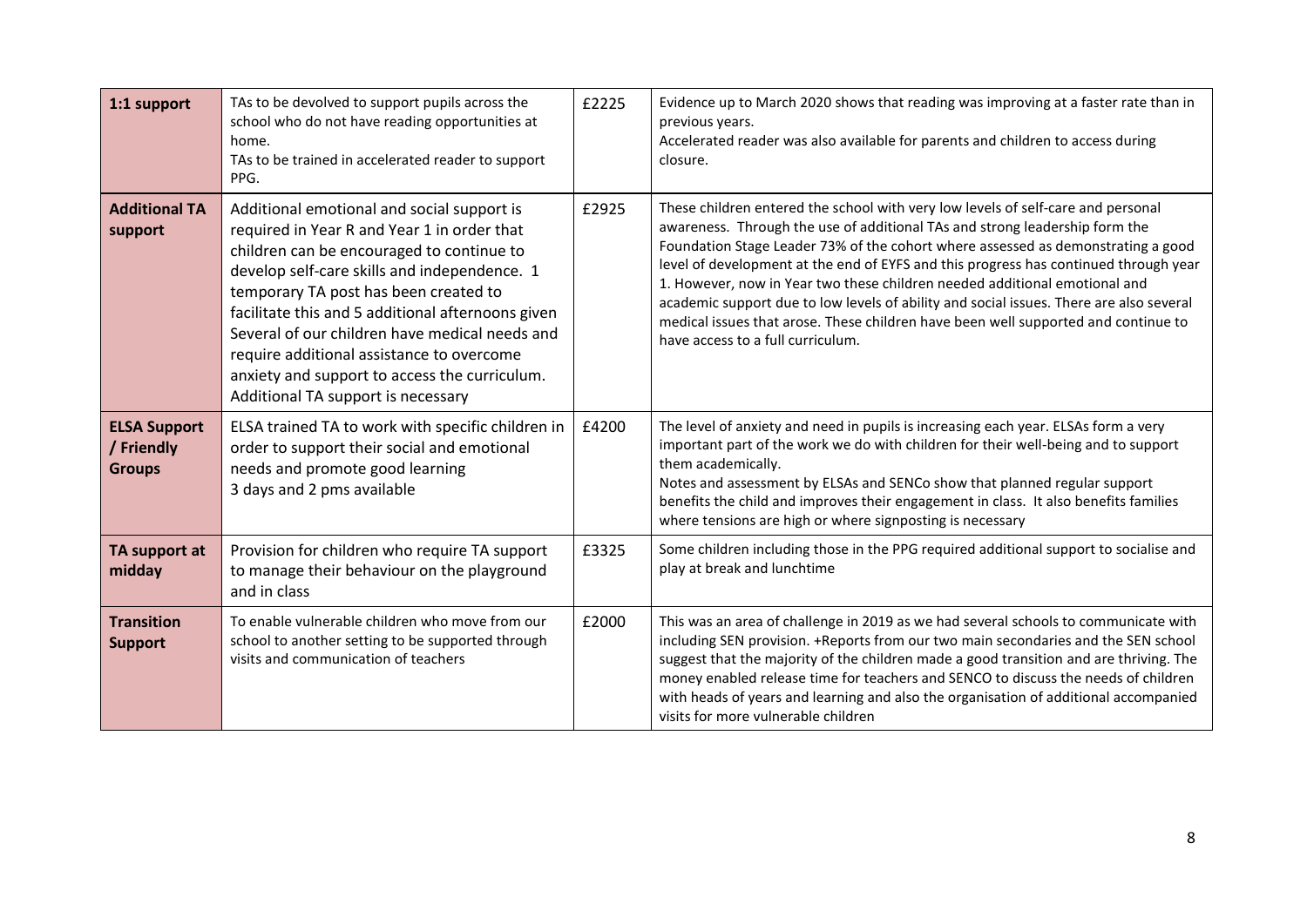| 1:1 support                                        | TAs to be devolved to support pupils across the<br>school who do not have reading opportunities at<br>home.<br>TAs to be trained in accelerated reader to support<br>PPG.                                                                                                                                                                                                                                                                                                  | £2225 | Evidence up to March 2020 shows that reading was improving at a faster rate than in<br>previous years.<br>Accelerated reader was also available for parents and children to access during<br>closure.                                                                                                                                                                                                                                                                                                                                                                                                                                           |
|----------------------------------------------------|----------------------------------------------------------------------------------------------------------------------------------------------------------------------------------------------------------------------------------------------------------------------------------------------------------------------------------------------------------------------------------------------------------------------------------------------------------------------------|-------|-------------------------------------------------------------------------------------------------------------------------------------------------------------------------------------------------------------------------------------------------------------------------------------------------------------------------------------------------------------------------------------------------------------------------------------------------------------------------------------------------------------------------------------------------------------------------------------------------------------------------------------------------|
| <b>Additional TA</b><br>support                    | Additional emotional and social support is<br>required in Year R and Year 1 in order that<br>children can be encouraged to continue to<br>develop self-care skills and independence. 1<br>temporary TA post has been created to<br>facilitate this and 5 additional afternoons given<br>Several of our children have medical needs and<br>require additional assistance to overcome<br>anxiety and support to access the curriculum.<br>Additional TA support is necessary | £2925 | These children entered the school with very low levels of self-care and personal<br>awareness. Through the use of additional TAs and strong leadership form the<br>Foundation Stage Leader 73% of the cohort where assessed as demonstrating a good<br>level of development at the end of EYFS and this progress has continued through year<br>1. However, now in Year two these children needed additional emotional and<br>academic support due to low levels of ability and social issues. There are also several<br>medical issues that arose. These children have been well supported and continue to<br>have access to a full curriculum. |
| <b>ELSA Support</b><br>/ Friendly<br><b>Groups</b> | ELSA trained TA to work with specific children in<br>order to support their social and emotional<br>needs and promote good learning<br>3 days and 2 pms available                                                                                                                                                                                                                                                                                                          | £4200 | The level of anxiety and need in pupils is increasing each year. ELSAs form a very<br>important part of the work we do with children for their well-being and to support<br>them academically.<br>Notes and assessment by ELSAs and SENCo show that planned regular support<br>benefits the child and improves their engagement in class. It also benefits families<br>where tensions are high or where signposting is necessary                                                                                                                                                                                                                |
| TA support at<br>midday                            | Provision for children who require TA support<br>to manage their behaviour on the playground<br>and in class                                                                                                                                                                                                                                                                                                                                                               | £3325 | Some children including those in the PPG required additional support to socialise and<br>play at break and lunchtime                                                                                                                                                                                                                                                                                                                                                                                                                                                                                                                            |
| <b>Transition</b><br><b>Support</b>                | To enable vulnerable children who move from our<br>school to another setting to be supported through<br>visits and communication of teachers                                                                                                                                                                                                                                                                                                                               | £2000 | This was an area of challenge in 2019 as we had several schools to communicate with<br>including SEN provision. +Reports from our two main secondaries and the SEN school<br>suggest that the majority of the children made a good transition and are thriving. The<br>money enabled release time for teachers and SENCO to discuss the needs of children<br>with heads of years and learning and also the organisation of additional accompanied<br>visits for more vulnerable children                                                                                                                                                        |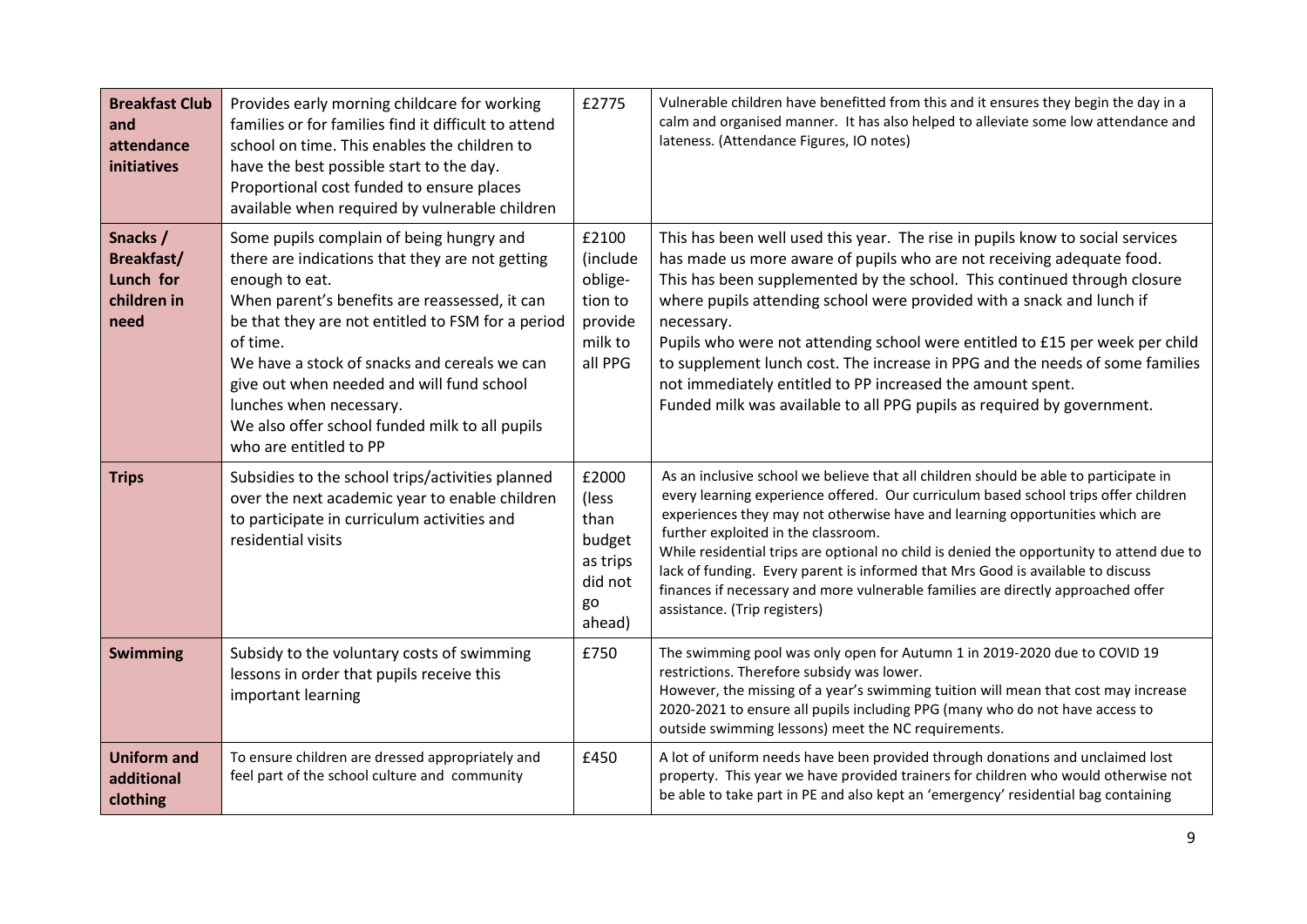| <b>Breakfast Club</b><br>and<br>attendance<br>initiatives         | Provides early morning childcare for working<br>families or for families find it difficult to attend<br>school on time. This enables the children to<br>have the best possible start to the day.<br>Proportional cost funded to ensure places<br>available when required by vulnerable children                                                                                                                                     | £2775                                                                    | Vulnerable children have benefitted from this and it ensures they begin the day in a<br>calm and organised manner. It has also helped to alleviate some low attendance and<br>lateness. (Attendance Figures, IO notes)                                                                                                                                                                                                                                                                                                                                                                                                            |
|-------------------------------------------------------------------|-------------------------------------------------------------------------------------------------------------------------------------------------------------------------------------------------------------------------------------------------------------------------------------------------------------------------------------------------------------------------------------------------------------------------------------|--------------------------------------------------------------------------|-----------------------------------------------------------------------------------------------------------------------------------------------------------------------------------------------------------------------------------------------------------------------------------------------------------------------------------------------------------------------------------------------------------------------------------------------------------------------------------------------------------------------------------------------------------------------------------------------------------------------------------|
| Snacks /<br><b>Breakfast/</b><br>Lunch for<br>children in<br>need | Some pupils complain of being hungry and<br>there are indications that they are not getting<br>enough to eat.<br>When parent's benefits are reassessed, it can<br>be that they are not entitled to FSM for a period<br>of time.<br>We have a stock of snacks and cereals we can<br>give out when needed and will fund school<br>lunches when necessary.<br>We also offer school funded milk to all pupils<br>who are entitled to PP | £2100<br>(include<br>oblige-<br>tion to<br>provide<br>milk to<br>all PPG | This has been well used this year. The rise in pupils know to social services<br>has made us more aware of pupils who are not receiving adequate food.<br>This has been supplemented by the school. This continued through closure<br>where pupils attending school were provided with a snack and lunch if<br>necessary.<br>Pupils who were not attending school were entitled to £15 per week per child<br>to supplement lunch cost. The increase in PPG and the needs of some families<br>not immediately entitled to PP increased the amount spent.<br>Funded milk was available to all PPG pupils as required by government. |
| <b>Trips</b>                                                      | Subsidies to the school trips/activities planned<br>over the next academic year to enable children<br>to participate in curriculum activities and<br>residential visits                                                                                                                                                                                                                                                             | £2000<br>(less<br>than<br>budget<br>as trips<br>did not<br>go<br>ahead)  | As an inclusive school we believe that all children should be able to participate in<br>every learning experience offered. Our curriculum based school trips offer children<br>experiences they may not otherwise have and learning opportunities which are<br>further exploited in the classroom.<br>While residential trips are optional no child is denied the opportunity to attend due to<br>lack of funding. Every parent is informed that Mrs Good is available to discuss<br>finances if necessary and more vulnerable families are directly approached offer<br>assistance. (Trip registers)                             |
| <b>Swimming</b>                                                   | Subsidy to the voluntary costs of swimming<br>lessons in order that pupils receive this<br>important learning                                                                                                                                                                                                                                                                                                                       | £750                                                                     | The swimming pool was only open for Autumn 1 in 2019-2020 due to COVID 19<br>restrictions. Therefore subsidy was lower.<br>However, the missing of a year's swimming tuition will mean that cost may increase<br>2020-2021 to ensure all pupils including PPG (many who do not have access to<br>outside swimming lessons) meet the NC requirements.                                                                                                                                                                                                                                                                              |
| <b>Uniform and</b><br>additional<br>clothing                      | To ensure children are dressed appropriately and<br>feel part of the school culture and community                                                                                                                                                                                                                                                                                                                                   | £450                                                                     | A lot of uniform needs have been provided through donations and unclaimed lost<br>property. This year we have provided trainers for children who would otherwise not<br>be able to take part in PE and also kept an 'emergency' residential bag containing                                                                                                                                                                                                                                                                                                                                                                        |